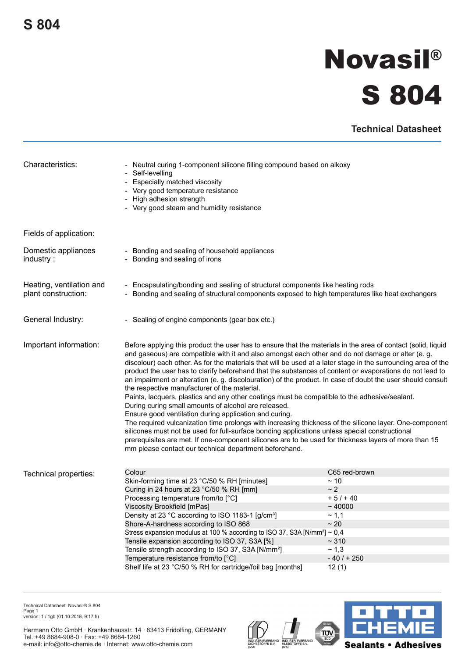## **Novasil® S 804**

**Technical Datasheet**

| Characteristics:                                | - Neutral curing 1-component silicone filling compound based on alkoxy<br>- Self-levelling<br>- Especially matched viscosity<br>- Very good temperature resistance<br>- High adhesion strength<br>- Very good steam and humidity resistance                                                                                                                                                                                                                                                                                                                                                                                                                                                                                                                                                                                                                                                                                                                                                                                                                                                                                                                                                                      |                                                                                                                       |
|-------------------------------------------------|------------------------------------------------------------------------------------------------------------------------------------------------------------------------------------------------------------------------------------------------------------------------------------------------------------------------------------------------------------------------------------------------------------------------------------------------------------------------------------------------------------------------------------------------------------------------------------------------------------------------------------------------------------------------------------------------------------------------------------------------------------------------------------------------------------------------------------------------------------------------------------------------------------------------------------------------------------------------------------------------------------------------------------------------------------------------------------------------------------------------------------------------------------------------------------------------------------------|-----------------------------------------------------------------------------------------------------------------------|
| Fields of application:                          |                                                                                                                                                                                                                                                                                                                                                                                                                                                                                                                                                                                                                                                                                                                                                                                                                                                                                                                                                                                                                                                                                                                                                                                                                  |                                                                                                                       |
| Domestic appliances<br>industry:                | - Bonding and sealing of household appliances<br>- Bonding and sealing of irons                                                                                                                                                                                                                                                                                                                                                                                                                                                                                                                                                                                                                                                                                                                                                                                                                                                                                                                                                                                                                                                                                                                                  |                                                                                                                       |
| Heating, ventilation and<br>plant construction: | - Encapsulating/bonding and sealing of structural components like heating rods<br>- Bonding and sealing of structural components exposed to high temperatures like heat exchangers                                                                                                                                                                                                                                                                                                                                                                                                                                                                                                                                                                                                                                                                                                                                                                                                                                                                                                                                                                                                                               |                                                                                                                       |
| General Industry:                               | - Sealing of engine components (gear box etc.)                                                                                                                                                                                                                                                                                                                                                                                                                                                                                                                                                                                                                                                                                                                                                                                                                                                                                                                                                                                                                                                                                                                                                                   |                                                                                                                       |
| Important information:                          | Before applying this product the user has to ensure that the materials in the area of contact (solid, liquid<br>and gaseous) are compatible with it and also amongst each other and do not damage or alter (e. g.<br>discolour) each other. As for the materials that will be used at a later stage in the surrounding area of the<br>product the user has to clarify beforehand that the substances of content or evaporations do not lead to<br>an impairment or alteration (e. g. discolouration) of the product. In case of doubt the user should consult<br>the respective manufacturer of the material.<br>Paints, lacquers, plastics and any other coatings must be compatible to the adhesive/sealant.<br>During curing small amounts of alcohol are released.<br>Ensure good ventilation during application and curing.<br>The required vulcanization time prolongs with increasing thickness of the silicone layer. One-component<br>silicones must not be used for full-surface bonding applications unless special constructional<br>prerequisites are met. If one-component silicones are to be used for thickness layers of more than 15<br>mm please contact our technical department beforehand. |                                                                                                                       |
| Technical properties:                           | Colour<br>Skin-forming time at 23 °C/50 % RH [minutes]<br>Curing in 24 hours at 23 °C/50 % RH [mm]<br>Processing temperature from/to [°C]<br>Viscosity Brookfield [mPas]<br>Density at 23 °C according to ISO 1183-1 [g/cm <sup>3</sup> ]<br>Shore-A-hardness according to ISO 868<br>Stress expansion modulus at 100 % according to ISO 37, S3A [N/mm <sup>2</sup> ] $\sim$ 0,4<br>Tensile expansion according to ISO 37, S3A [%]<br>Tensile strength according to ISO 37, S3A [N/mm <sup>2</sup> ]<br>Temperature resistance from/to [°C]<br>Shelf life at 23 °C/50 % RH for cartridge/foil bag [months]                                                                                                                                                                                                                                                                                                                                                                                                                                                                                                                                                                                                       | C65 red-brown<br>~10<br>$\sim$ 2<br>$+5/ + 40$<br>~10000<br>~1.1<br>$\sim 20$<br>~10<br>~1,3<br>$-40/ + 250$<br>12(1) |

Technical Datasheet Novasil® S 804 Page 1 version: 1 / 1gb (01.10.2018, 9:17 h)

Hermann Otto GmbH · Krankenhausstr. 14 · 83413 Fridolfing, GERMANY Tel.:+49 8684-908-0 · Fax: +49 8684-1260 e-mail: info@otto-chemie.de · Internet: www.otto-chemie.com